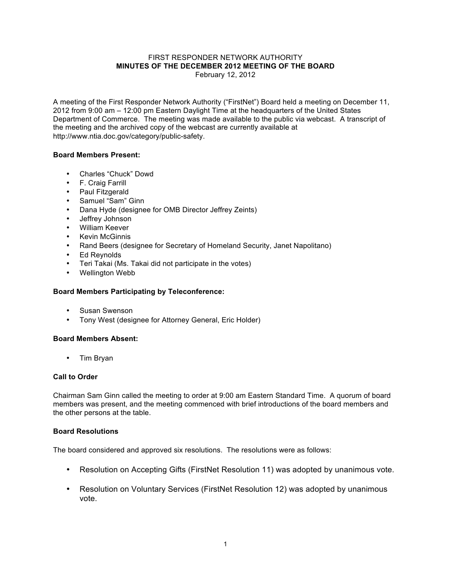#### FIRST RESPONDER NETWORK AUTHORITY **MINUTES OF THE DECEMBER 2012 MEETING OF THE BOARD** February 12, 2012

A meeting of the First Responder Network Authority ("FirstNet") Board held a meeting on December 11, 2012 from 9:00 am – 12:00 pm Eastern Daylight Time at the headquarters of the United States Department of Commerce. The meeting was made available to the public via webcast. A transcript of the meeting and the archived copy of the webcast are currently available at http://www.ntia.doc.gov/category/public-safety.

## **Board Members Present:**

- Charles "Chuck" Dowd
- F. Craig Farrill
- Paul Fitzgerald
- Samuel "Sam" Ginn
- Dana Hyde (designee for OMB Director Jeffrey Zeints)
- Jeffrey Johnson
- William Keever
- Kevin McGinnis
- Rand Beers (designee for Secretary of Homeland Security, Janet Napolitano)
- Ed Reynolds
- Teri Takai (Ms. Takai did not participate in the votes)
- Wellington Webb

## **Board Members Participating by Teleconference:**

- Susan Swenson
- Tony West (designee for Attorney General, Eric Holder)

## **Board Members Absent:**

• Tim Bryan

### **Call to Order**

Chairman Sam Ginn called the meeting to order at 9:00 am Eastern Standard Time. A quorum of board members was present, and the meeting commenced with brief introductions of the board members and the other persons at the table.

### **Board Resolutions**

The board considered and approved six resolutions. The resolutions were as follows:

- Resolution on Accepting Gifts (FirstNet Resolution 11) was adopted by unanimous vote.
- Resolution on Voluntary Services (FirstNet Resolution 12) was adopted by unanimous vote.